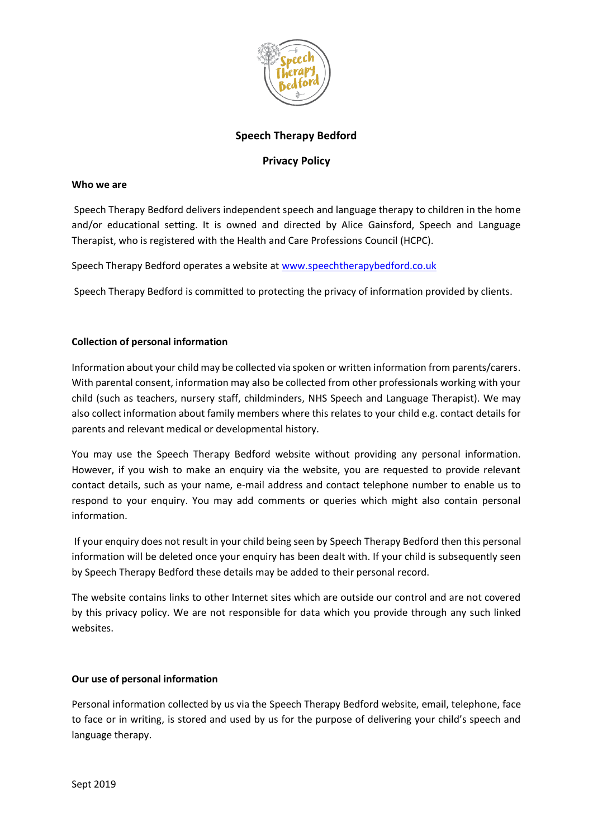

# **Speech Therapy Bedford**

# **Privacy Policy**

#### **Who we are**

Speech Therapy Bedford delivers independent speech and language therapy to children in the home and/or educational setting. It is owned and directed by Alice Gainsford, Speech and Language Therapist, who is registered with the Health and Care Professions Council (HCPC).

Speech Therapy Bedford operates a website at [www.speechtherapybedford.co.uk](http://www.speechtherapybedford.co.uk/)

Speech Therapy Bedford is committed to protecting the privacy of information provided by clients.

# **Collection of personal information**

Information about your child may be collected via spoken or written information from parents/carers. With parental consent, information may also be collected from other professionals working with your child (such as teachers, nursery staff, childminders, NHS Speech and Language Therapist). We may also collect information about family members where this relates to your child e.g. contact details for parents and relevant medical or developmental history.

You may use the Speech Therapy Bedford website without providing any personal information. However, if you wish to make an enquiry via the website, you are requested to provide relevant contact details, such as your name, e-mail address and contact telephone number to enable us to respond to your enquiry. You may add comments or queries which might also contain personal information.

If your enquiry does not result in your child being seen by Speech Therapy Bedford then this personal information will be deleted once your enquiry has been dealt with. If your child is subsequently seen by Speech Therapy Bedford these details may be added to their personal record.

The website contains links to other Internet sites which are outside our control and are not covered by this privacy policy. We are not responsible for data which you provide through any such linked websites.

# **Our use of personal information**

Personal information collected by us via the Speech Therapy Bedford website, email, telephone, face to face or in writing, is stored and used by us for the purpose of delivering your child's speech and language therapy.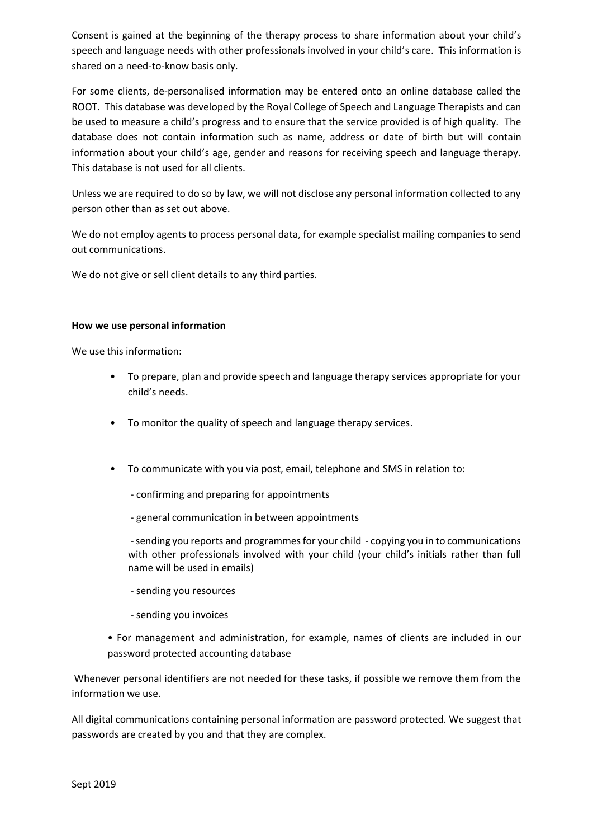Consent is gained at the beginning of the therapy process to share information about your child's speech and language needs with other professionals involved in your child's care. This information is shared on a need-to-know basis only.

For some clients, de-personalised information may be entered onto an online database called the ROOT. This database was developed by the Royal College of Speech and Language Therapists and can be used to measure a child's progress and to ensure that the service provided is of high quality. The database does not contain information such as name, address or date of birth but will contain information about your child's age, gender and reasons for receiving speech and language therapy. This database is not used for all clients.

Unless we are required to do so by law, we will not disclose any personal information collected to any person other than as set out above.

We do not employ agents to process personal data, for example specialist mailing companies to send out communications.

We do not give or sell client details to any third parties.

# **How we use personal information**

We use this information:

- To prepare, plan and provide speech and language therapy services appropriate for your child's needs.
- To monitor the quality of speech and language therapy services.
- To communicate with you via post, email, telephone and SMS in relation to:
	- confirming and preparing for appointments
	- general communication in between appointments

-sending you reports and programmes for your child - copying you in to communications with other professionals involved with your child (your child's initials rather than full name will be used in emails)

- sending you resources
- sending you invoices
- For management and administration, for example, names of clients are included in our password protected accounting database

Whenever personal identifiers are not needed for these tasks, if possible we remove them from the information we use.

All digital communications containing personal information are password protected. We suggest that passwords are created by you and that they are complex.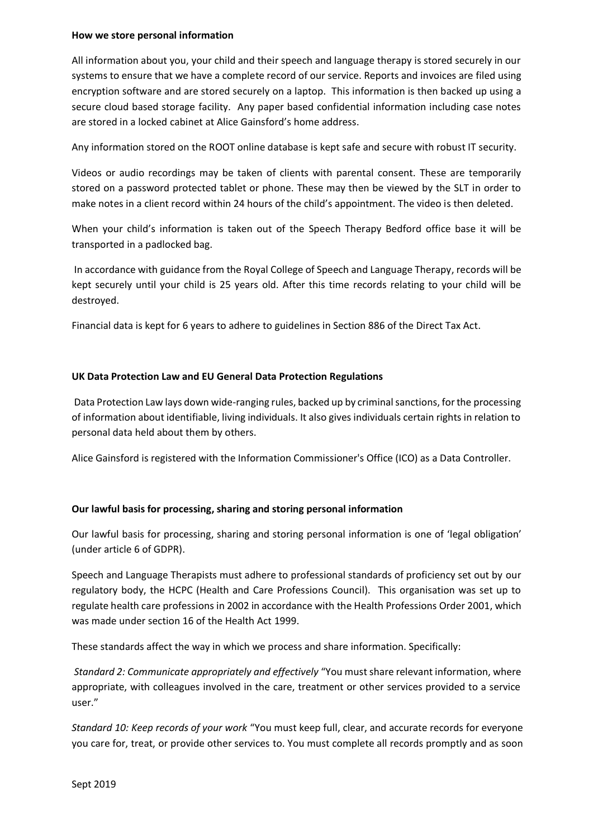#### **How we store personal information**

All information about you, your child and their speech and language therapy is stored securely in our systems to ensure that we have a complete record of our service. Reports and invoices are filed using encryption software and are stored securely on a laptop. This information is then backed up using a secure cloud based storage facility. Any paper based confidential information including case notes are stored in a locked cabinet at Alice Gainsford's home address.

Any information stored on the ROOT online database is kept safe and secure with robust IT security.

Videos or audio recordings may be taken of clients with parental consent. These are temporarily stored on a password protected tablet or phone. These may then be viewed by the SLT in order to make notes in a client record within 24 hours of the child's appointment. The video is then deleted.

When your child's information is taken out of the Speech Therapy Bedford office base it will be transported in a padlocked bag.

In accordance with guidance from the Royal College of Speech and Language Therapy, records will be kept securely until your child is 25 years old. After this time records relating to your child will be destroyed.

Financial data is kept for 6 years to adhere to guidelines in Section 886 of the Direct Tax Act.

# **UK Data Protection Law and EU General Data Protection Regulations**

Data Protection Law lays down wide-ranging rules, backed up by criminal sanctions, for the processing of information about identifiable, living individuals. It also gives individuals certain rights in relation to personal data held about them by others.

Alice Gainsford is registered with the Information Commissioner's Office (ICO) as a Data Controller.

# **Our lawful basis for processing, sharing and storing personal information**

Our lawful basis for processing, sharing and storing personal information is one of 'legal obligation' (under article 6 of GDPR).

Speech and Language Therapists must adhere to professional standards of proficiency set out by our regulatory body, the HCPC (Health and Care Professions Council). This organisation was set up to regulate health care professions in 2002 in accordance with the Health Professions Order 2001, which was made under section 16 of the Health Act 1999.

These standards affect the way in which we process and share information. Specifically:

*Standard 2: Communicate appropriately and effectively* "You must share relevant information, where appropriate, with colleagues involved in the care, treatment or other services provided to a service user."

*Standard 10: Keep records of your work* "You must keep full, clear, and accurate records for everyone you care for, treat, or provide other services to. You must complete all records promptly and as soon